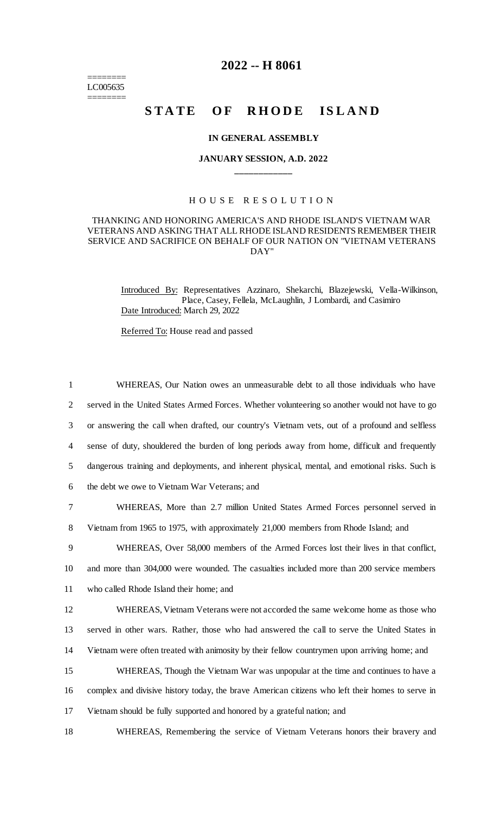======== LC005635 ========

## **2022 -- H 8061**

# **STATE OF RHODE ISLAND**

## **IN GENERAL ASSEMBLY**

## **JANUARY SESSION, A.D. 2022 \_\_\_\_\_\_\_\_\_\_\_\_**

## H O U S E R E S O L U T I O N

## THANKING AND HONORING AMERICA'S AND RHODE ISLAND'S VIETNAM WAR VETERANS AND ASKING THAT ALL RHODE ISLAND RESIDENTS REMEMBER THEIR SERVICE AND SACRIFICE ON BEHALF OF OUR NATION ON "VIETNAM VETERANS DAY"

Introduced By: Representatives Azzinaro, Shekarchi, Blazejewski, Vella-Wilkinson, Place, Casey, Fellela, McLaughlin, J Lombardi, and Casimiro Date Introduced: March 29, 2022

Referred To: House read and passed

 WHEREAS, Our Nation owes an unmeasurable debt to all those individuals who have served in the United States Armed Forces. Whether volunteering so another would not have to go or answering the call when drafted, our country's Vietnam vets, out of a profound and selfless sense of duty, shouldered the burden of long periods away from home, difficult and frequently dangerous training and deployments, and inherent physical, mental, and emotional risks. Such is the debt we owe to Vietnam War Veterans; and WHEREAS, More than 2.7 million United States Armed Forces personnel served in Vietnam from 1965 to 1975, with approximately 21,000 members from Rhode Island; and WHEREAS, Over 58,000 members of the Armed Forces lost their lives in that conflict, and more than 304,000 were wounded. The casualties included more than 200 service members who called Rhode Island their home; and WHEREAS, Vietnam Veterans were not accorded the same welcome home as those who

13 served in other wars. Rather, those who had answered the call to serve the United States in 14 Vietnam were often treated with animosity by their fellow countrymen upon arriving home; and

15 WHEREAS, Though the Vietnam War was unpopular at the time and continues to have a 16 complex and divisive history today, the brave American citizens who left their homes to serve in 17 Vietnam should be fully supported and honored by a grateful nation; and

18 WHEREAS, Remembering the service of Vietnam Veterans honors their bravery and